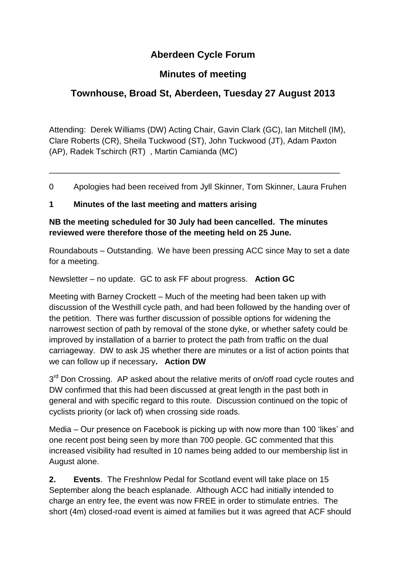# **Aberdeen Cycle Forum**

## **Minutes of meeting**

# **Townhouse, Broad St, Aberdeen, Tuesday 27 August 2013**

Attending: Derek Williams (DW) Acting Chair, Gavin Clark (GC), Ian Mitchell (IM), Clare Roberts (CR), Sheila Tuckwood (ST), John Tuckwood (JT), Adam Paxton (AP), Radek Tschirch (RT) , Martin Camianda (MC)

0 Apologies had been received from Jyll Skinner, Tom Skinner, Laura Fruhen

\_\_\_\_\_\_\_\_\_\_\_\_\_\_\_\_\_\_\_\_\_\_\_\_\_\_\_\_\_\_\_\_\_\_\_\_\_\_\_\_\_\_\_\_\_\_\_\_\_\_\_\_\_\_\_\_\_\_\_\_\_\_\_\_

#### **1 Minutes of the last meeting and matters arising**

#### **NB the meeting scheduled for 30 July had been cancelled. The minutes reviewed were therefore those of the meeting held on 25 June.**

Roundabouts – Outstanding. We have been pressing ACC since May to set a date for a meeting.

Newsletter – no update. GC to ask FF about progress. **Action GC**

Meeting with Barney Crockett – Much of the meeting had been taken up with discussion of the Westhill cycle path, and had been followed by the handing over of the petition. There was further discussion of possible options for widening the narrowest section of path by removal of the stone dyke, or whether safety could be improved by installation of a barrier to protect the path from traffic on the dual carriageway. DW to ask JS whether there are minutes or a list of action points that we can follow up if necessary**. Action DW**

3<sup>rd</sup> Don Crossing. AP asked about the relative merits of on/off road cycle routes and DW confirmed that this had been discussed at great length in the past both in general and with specific regard to this route. Discussion continued on the topic of cyclists priority (or lack of) when crossing side roads.

Media – Our presence on Facebook is picking up with now more than 100 'likes' and one recent post being seen by more than 700 people. GC commented that this increased visibility had resulted in 10 names being added to our membership list in August alone.

**2. Events**. The Freshnlow Pedal for Scotland event will take place on 15 September along the beach esplanade. Although ACC had initially intended to charge an entry fee, the event was now FREE in order to stimulate entries. The short (4m) closed-road event is aimed at families but it was agreed that ACF should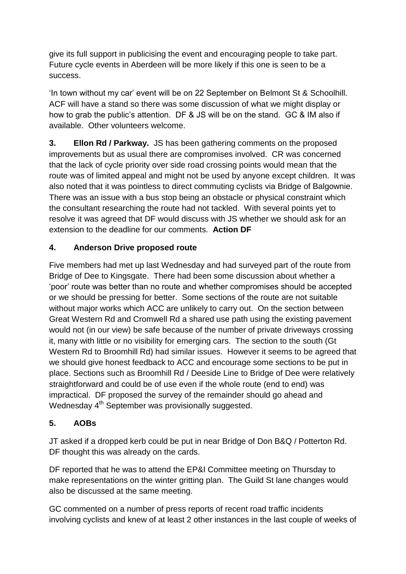give its full support in publicising the event and encouraging people to take part. Future cycle events in Aberdeen will be more likely if this one is seen to be a success.

'In town without my car' event will be on 22 September on Belmont St & Schoolhill. ACF will have a stand so there was some discussion of what we might display or how to grab the public's attention. DF & JS will be on the stand. GC & IM also if available. Other volunteers welcome.

**3. Ellon Rd / Parkway.** JS has been gathering comments on the proposed improvements but as usual there are compromises involved. CR was concerned that the lack of cycle priority over side road crossing points would mean that the route was of limited appeal and might not be used by anyone except children. It was also noted that it was pointless to direct commuting cyclists via Bridge of Balgownie. There was an issue with a bus stop being an obstacle or physical constraint which the consultant researching the route had not tackled. With several points yet to resolve it was agreed that DF would discuss with JS whether we should ask for an extension to the deadline for our comments. **Action DF**

### **4. Anderson Drive proposed route**

Five members had met up last Wednesday and had surveyed part of the route from Bridge of Dee to Kingsgate. There had been some discussion about whether a 'poor' route was better than no route and whether compromises should be accepted or we should be pressing for better. Some sections of the route are not suitable without major works which ACC are unlikely to carry out. On the section between Great Western Rd and Cromwell Rd a shared use path using the existing pavement would not (in our view) be safe because of the number of private driveways crossing it, many with little or no visibility for emerging cars. The section to the south (Gt Western Rd to Broomhill Rd) had similar issues. However it seems to be agreed that we should give honest feedback to ACC and encourage some sections to be put in place. Sections such as Broomhill Rd / Deeside Line to Bridge of Dee were relatively straightforward and could be of use even if the whole route (end to end) was impractical. DF proposed the survey of the remainder should go ahead and Wednesday  $4<sup>th</sup>$  September was provisionally suggested.

### **5. AOBs**

JT asked if a dropped kerb could be put in near Bridge of Don B&Q / Potterton Rd. DF thought this was already on the cards.

DF reported that he was to attend the EP&I Committee meeting on Thursday to make representations on the winter gritting plan. The Guild St lane changes would also be discussed at the same meeting.

GC commented on a number of press reports of recent road traffic incidents involving cyclists and knew of at least 2 other instances in the last couple of weeks of